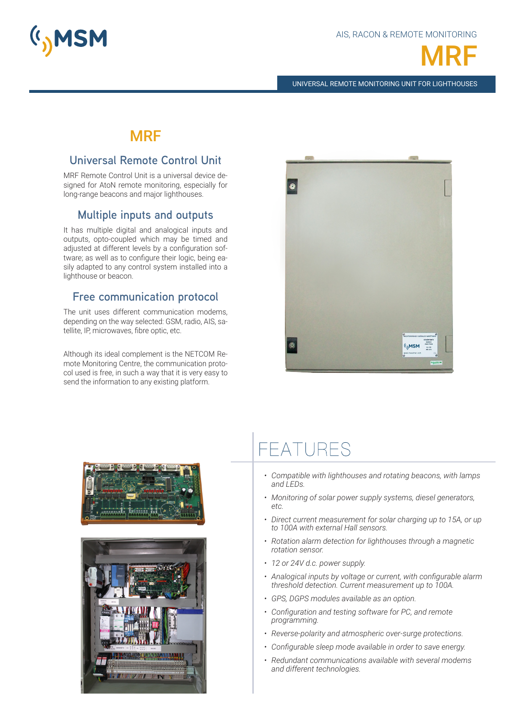



UNIVERSAL REMOTE MONITORING UNIT FOR LIGHTHOUSES

# MRF

## **Universal Remote Control Unit**

MRF Remote Control Unit is a universal device designed for AtoN remote monitoring, especially for long-range beacons and major lighthouses.

# **Multiple inputs and outputs**

It has multiple digital and analogical inputs and outputs, opto-coupled which may be timed and adjusted at different levels by a configuration software; as well as to configure their logic, being easily adapted to any control system installed into a lighthouse or beacon.

### **Free communication protocol**

The unit uses different communication modems, depending on the way selected: GSM, radio, AIS, satellite, IP, microwaves, fibre optic, etc.

Although its ideal complement is the NETCOM Remote Monitoring Centre, the communication protocol used is free, in such a way that it is very easy to send the information to any existing platform.







# FFATURES

- *• Compatible with lighthouses and rotating beacons, with lamps and LEDs.*
- *• Monitoring of solar power supply systems, diesel generators, etc.*
- *• Direct current measurement for solar charging up to 15A, or up to 100A with external Hall sensors.*
- *• Rotation alarm detection for lighthouses through a magnetic rotation sensor.*
- *• 12 or 24V d.c. power supply.*
- *• Analogical inputs by voltage or current, with configurable alarm threshold detection. Current measurement up to 100A.*
- *• GPS, DGPS modules available as an option.*
- *• Configuration and testing software for PC, and remote programming.*
- *• Reverse-polarity and atmospheric over-surge protections.*
- *• Configurable sleep mode available in order to save energy.*
- *• Redundant communications available with several modems and different technologies.*